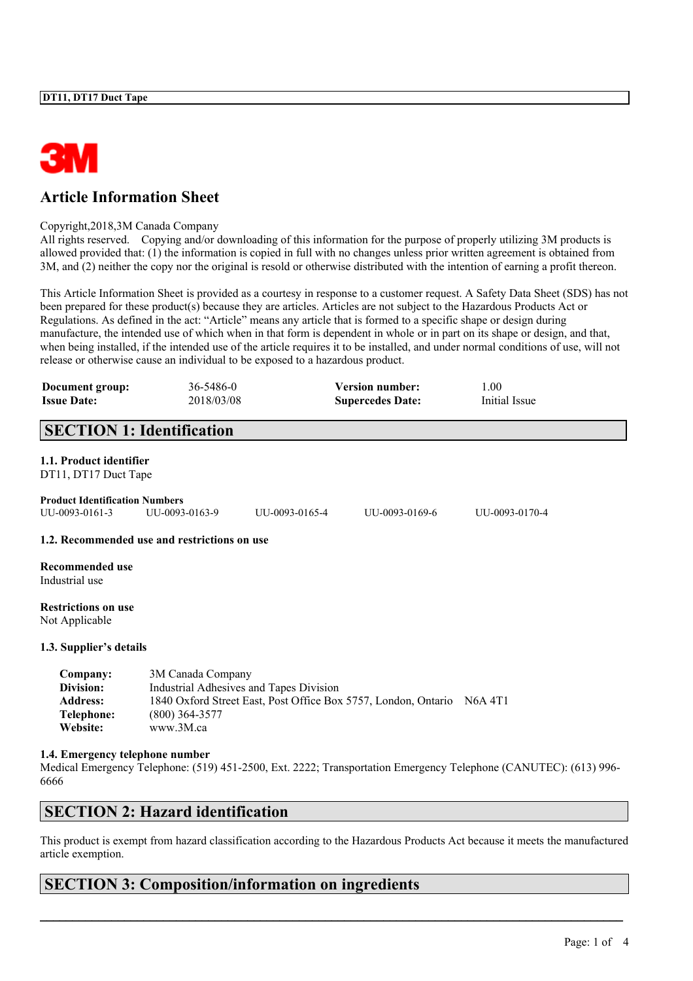

# **Article Information Sheet**

#### Copyright,2018,3M Canada Company

All rights reserved. Copying and/or downloading of this information for the purpose of properly utilizing 3M products is allowed provided that: (1) the information is copied in full with no changes unless prior written agreement is obtained from 3M, and (2) neither the copy nor the original is resold or otherwise distributed with the intention of earning a profit thereon.

This Article Information Sheet is provided as a courtesy in response to a customer request. A Safety Data Sheet (SDS) has not been prepared for these product(s) because they are articles. Articles are not subject to the Hazardous Products Act or Regulations. As defined in the act: "Article" means any article that is formed to a specific shape or design during manufacture, the intended use of which when in that form is dependent in whole or in part on its shape or design, and that, when being installed, if the intended use of the article requires it to be installed, and under normal conditions of use, will not release or otherwise cause an individual to be exposed to a hazardous product.

| Document group:<br><b>Issue Date:</b>                              | 36-5486-0<br>2018/03/08                                                                                                                                                 | <b>Version number:</b><br><b>Supercedes Date:</b> | 1.00<br>Initial Issue                                                                                                 |  |
|--------------------------------------------------------------------|-------------------------------------------------------------------------------------------------------------------------------------------------------------------------|---------------------------------------------------|-----------------------------------------------------------------------------------------------------------------------|--|
|                                                                    | <b>SECTION 1: Identification</b>                                                                                                                                        |                                                   |                                                                                                                       |  |
| 1.1. Product identifier<br>DT11, DT17 Duct Tape                    |                                                                                                                                                                         |                                                   |                                                                                                                       |  |
| <b>Product Identification Numbers</b><br>UU-0093-0161-3            | UU-0093-0163-9                                                                                                                                                          | UU-0093-0169-6<br>UU-0093-0165-4                  | UU-0093-0170-4                                                                                                        |  |
|                                                                    | 1.2. Recommended use and restrictions on use                                                                                                                            |                                                   |                                                                                                                       |  |
| <b>Recommended use</b><br>Industrial use                           |                                                                                                                                                                         |                                                   |                                                                                                                       |  |
| <b>Restrictions on use</b><br>Not Applicable                       |                                                                                                                                                                         |                                                   |                                                                                                                       |  |
| 1.3. Supplier's details                                            |                                                                                                                                                                         |                                                   |                                                                                                                       |  |
| Company:<br>Division:<br><b>Address:</b><br>Telephone:<br>Website: | 3M Canada Company<br>Industrial Adhesives and Tapes Division<br>1840 Oxford Street East, Post Office Box 5757, London, Ontario N6A 4T1<br>$(800)$ 364-3577<br>www.3M.ca |                                                   |                                                                                                                       |  |
| 1.4. Emergency telephone number                                    |                                                                                                                                                                         |                                                   | Medical Emergency Telephone: $(519)$ 451-2500 Ext 2222: Transportation Emergency Telephone $(CANITFC)$ : $(613)$ 996- |  |

ency Telephone: (519) 451-2500, Ext. 2222; Transportation Emergency Telephone (CANUTEC): (613) 996 6666

### **SECTION 2: Hazard identification**

This product is exempt from hazard classification according to the Hazardous Products Act because it meets the manufactured article exemption.

 $\mathcal{L}_\mathcal{L} = \mathcal{L}_\mathcal{L} = \mathcal{L}_\mathcal{L} = \mathcal{L}_\mathcal{L} = \mathcal{L}_\mathcal{L} = \mathcal{L}_\mathcal{L} = \mathcal{L}_\mathcal{L} = \mathcal{L}_\mathcal{L} = \mathcal{L}_\mathcal{L} = \mathcal{L}_\mathcal{L} = \mathcal{L}_\mathcal{L} = \mathcal{L}_\mathcal{L} = \mathcal{L}_\mathcal{L} = \mathcal{L}_\mathcal{L} = \mathcal{L}_\mathcal{L} = \mathcal{L}_\mathcal{L} = \mathcal{L}_\mathcal{L}$ 

### **SECTION 3: Composition/information on ingredients**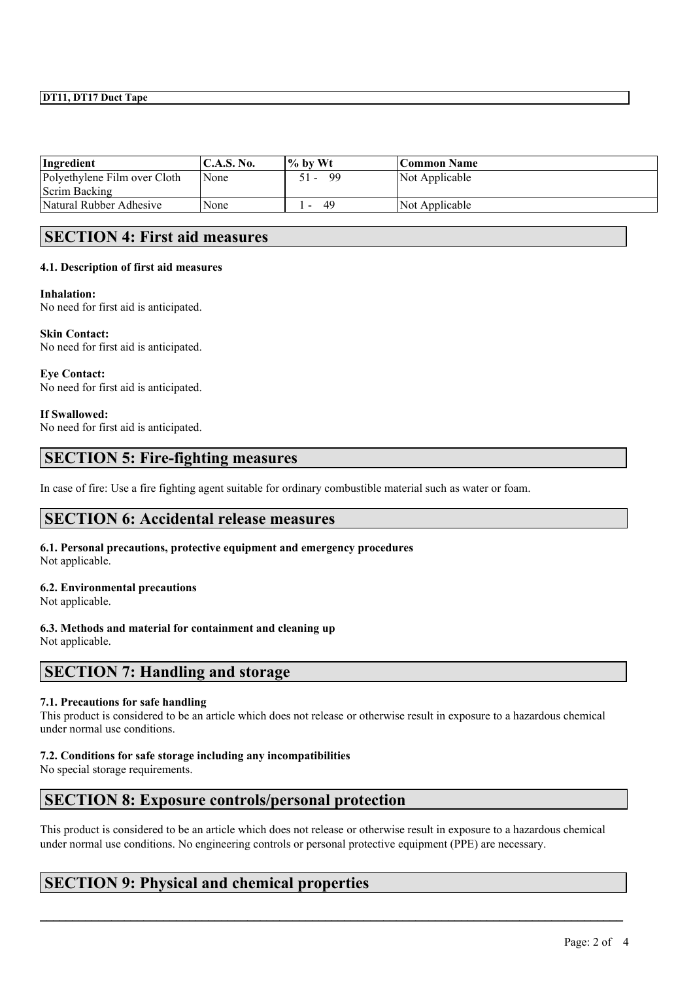### **DT11, DT17 Duct Tape**

| Ingredient                   | $\mathbf{C}$ . A.S. No. | % by Wt | <b>Common Name</b> |
|------------------------------|-------------------------|---------|--------------------|
| Polyethylene Film over Cloth | <b>None</b>             | 99      | Not Applicable     |
| Scrim Backing                |                         |         |                    |
| Natural Rubber Adhesive      | None                    | 49      | Not Applicable     |

### **SECTION 4: First aid measures**

### **4.1. Description of first aid measures**

#### **Inhalation:**

No need for first aid is anticipated.

**Skin Contact:** No need for first aid is anticipated.

**Eye Contact:** No need for first aid is anticipated.

#### **If Swallowed:**

No need for first aid is anticipated.

### **SECTION 5: Fire-fighting measures**

In case of fire: Use a fire fighting agent suitable for ordinary combustible material such as water or foam.

## **SECTION 6: Accidental release measures**

**6.1. Personal precautions, protective equipment and emergency procedures**

Not applicable.

#### **6.2. Environmental precautions**

Not applicable.

#### **6.3. Methods and material for containment and cleaning up**

Not applicable.

### **SECTION 7: Handling and storage**

#### **7.1. Precautions for safe handling**

This product is considered to be an article which does not release or otherwise result in exposure to a hazardous chemical under normal use conditions.

#### **7.2. Conditions for safe storage including any incompatibilities**

No special storage requirements.

## **SECTION 8: Exposure controls/personal protection**

This product is considered to be an article which does not release or otherwise result in exposure to a hazardous chemical under normal use conditions. No engineering controls or personal protective equipment (PPE) are necessary.

 $\mathcal{L}_\mathcal{L} = \mathcal{L}_\mathcal{L} = \mathcal{L}_\mathcal{L} = \mathcal{L}_\mathcal{L} = \mathcal{L}_\mathcal{L} = \mathcal{L}_\mathcal{L} = \mathcal{L}_\mathcal{L} = \mathcal{L}_\mathcal{L} = \mathcal{L}_\mathcal{L} = \mathcal{L}_\mathcal{L} = \mathcal{L}_\mathcal{L} = \mathcal{L}_\mathcal{L} = \mathcal{L}_\mathcal{L} = \mathcal{L}_\mathcal{L} = \mathcal{L}_\mathcal{L} = \mathcal{L}_\mathcal{L} = \mathcal{L}_\mathcal{L}$ 

## **SECTION 9: Physical and chemical properties**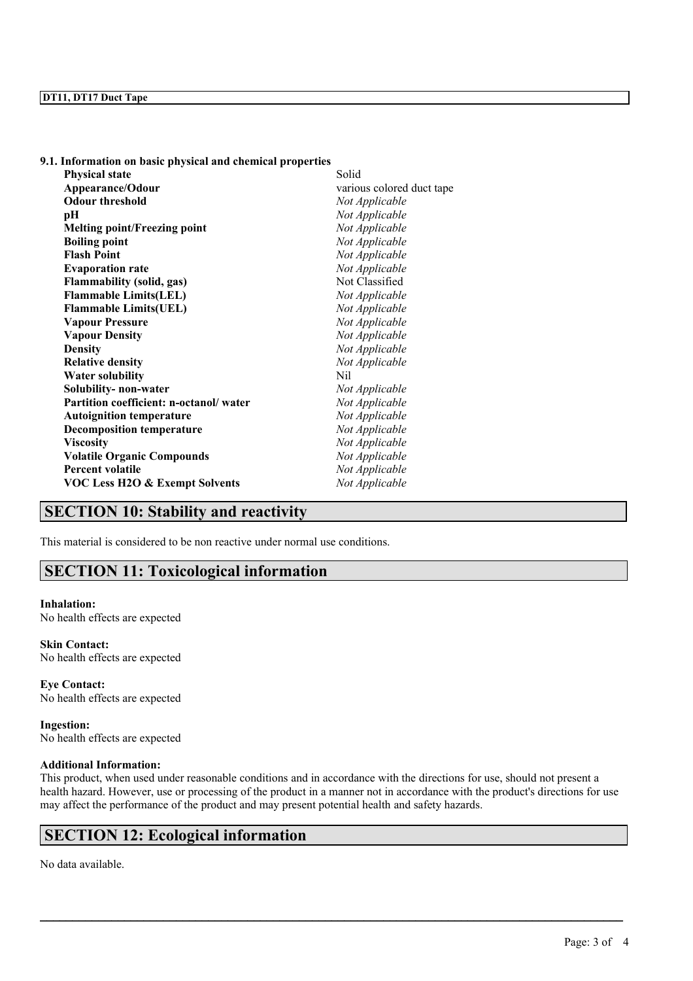| 9.1. Information on basic physical and chemical properties |                           |
|------------------------------------------------------------|---------------------------|
| <b>Physical state</b>                                      | Solid                     |
| Appearance/Odour                                           | various colored duct tape |
| <b>Odour threshold</b>                                     | Not Applicable            |
| pН                                                         | Not Applicable            |
| <b>Melting point/Freezing point</b>                        | Not Applicable            |
| <b>Boiling point</b>                                       | Not Applicable            |
| <b>Flash Point</b>                                         | Not Applicable            |
| <b>Evaporation rate</b>                                    | Not Applicable            |
| <b>Flammability (solid, gas)</b>                           | Not Classified            |
| <b>Flammable Limits(LEL)</b>                               | Not Applicable            |
| <b>Flammable Limits(UEL)</b>                               | Not Applicable            |
| <b>Vapour Pressure</b>                                     | Not Applicable            |
| <b>Vapour Density</b>                                      | Not Applicable            |
| <b>Density</b>                                             | Not Applicable            |
| <b>Relative density</b>                                    | Not Applicable            |
| <b>Water solubility</b>                                    | Nil                       |
| Solubility- non-water                                      | Not Applicable            |
| Partition coefficient: n-octanol/water                     | Not Applicable            |
| <b>Autoignition temperature</b>                            | Not Applicable            |
| <b>Decomposition temperature</b>                           | Not Applicable            |
| <b>Viscosity</b>                                           | Not Applicable            |
| <b>Volatile Organic Compounds</b>                          | Not Applicable            |
| <b>Percent volatile</b>                                    | Not Applicable            |
| <b>VOC Less H2O &amp; Exempt Solvents</b>                  | Not Applicable            |

# **SECTION 10: Stability and reactivity**

This material is considered to be non reactive under normal use conditions.

# **SECTION 11: Toxicological information**

#### **Inhalation:** No health effects are expected

**Skin Contact:** No health effects are expected

**Eye Contact:** No health effects are expected

**Ingestion:** No health effects are expected

### **Additional Information:**

This product, when used under reasonable conditions and in accordance with the directions for use, should not present a health hazard. However, use or processing of the product in a manner not in accordance with the product's directions for use may affect the performance of the product and may present potential health and safety hazards.

 $\mathcal{L}_\mathcal{L} = \mathcal{L}_\mathcal{L} = \mathcal{L}_\mathcal{L} = \mathcal{L}_\mathcal{L} = \mathcal{L}_\mathcal{L} = \mathcal{L}_\mathcal{L} = \mathcal{L}_\mathcal{L} = \mathcal{L}_\mathcal{L} = \mathcal{L}_\mathcal{L} = \mathcal{L}_\mathcal{L} = \mathcal{L}_\mathcal{L} = \mathcal{L}_\mathcal{L} = \mathcal{L}_\mathcal{L} = \mathcal{L}_\mathcal{L} = \mathcal{L}_\mathcal{L} = \mathcal{L}_\mathcal{L} = \mathcal{L}_\mathcal{L}$ 

## **SECTION 12: Ecological information**

No data available.